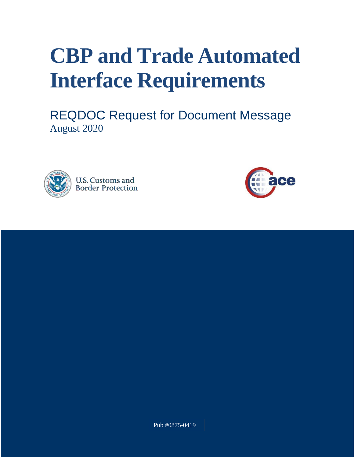# **CBP and Trade Automated Interface Requirements**

REQDOC Request for Document Message August 2020





Pub #0875-0419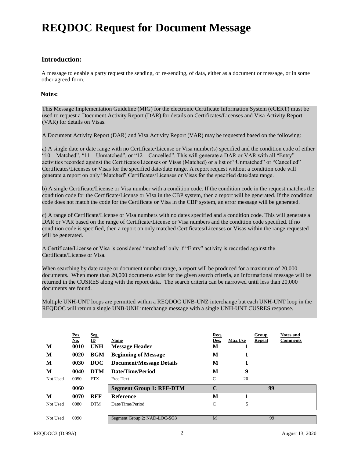# **REQDOC Request for Document Message**

## **Introduction:**

A message to enable a party request the sending, or re-sending, of data, either as a document or message, or in some other agreed form.

#### **Notes:**

This Message Implementation Guideline (MIG) for the electronic Certificate Information System (eCERT) must be used to request a Document Activity Report (DAR) for details on Certificates/Licenses and Visa Activity Report (VAR) for details on Visas.

A Document Activity Report (DAR) and Visa Activity Report (VAR) may be requested based on the following:

a) A single date or date range with no Certificate/License or Visa number(s) specified and the condition code of either "10 – Matched", "11 – Unmatched", or "12 – Cancelled". This will generate a DAR or VAR with all "Entry" activities recorded against the Certificates/Licenses or Visas (Matched) or a list of "Unmatched" or "Cancelled" Certificates/Licenses or Visas for the specified date/date range. A report request without a condition code will generate a report on only "Matched" Certificates/Licenses or Visas for the specified date/date range.

b) A single Certificate/License or Visa number with a condition code. If the condition code in the request matches the condition code for the Certificate/License or Visa in the CBP system, then a report will be generated. If the condition code does not match the code for the Certificate or Visa in the CBP system, an error message will be generated.

c) A range of Certificate/License or Visa numbers with no dates specified and a condition code. This will generate a DAR or VAR based on the range of Certificate/License or Visa numbers and the condition code specified. If no condition code is specified, then a report on only matched Certificates/Licenses or Visas within the range requested will be generated.

A Certificate/License or Visa is considered "matched' only if "Entry" activity is recorded against the Certificate/License or Visa.

When searching by date range or document number range, a report will be produced for a maximum of 20,000 documents. When more than 20,000 documents exist for the given search criteria, an Informational message will be returned in the CUSRES along with the report data. The search criteria can be narrowed until less than 20,000 documents are found.

Multiple UNH-UNT loops are permitted within a REQDOC UNB-UNZ interchange but each UNH-UNT loop in the REQDOC will return a single UNB-UNH interchange message with a single UNH-UNT CUSRES response.

| M<br>M<br>M<br>M<br>Not Used | Pos.<br><u>No.</u><br>0010<br>0020<br>0030<br>0040<br>0050 | Seg.<br>$\mathbf{D}$<br><b>UNH</b><br><b>BGM</b><br><b>DOC</b><br><b>DTM</b><br><b>FTX</b> | Name<br><b>Message Header</b><br><b>Beginning of Message</b><br><b>Document/Message Details</b><br>Date/Time/Period<br>Free Text | Req.<br>Des.<br>M<br>M<br>M<br>M<br>$\mathsf{C}$ | <b>Max.Use</b><br>1<br>9<br>20 | Group<br><b>Repeat</b> | <b>Notes and</b><br>Comments |
|------------------------------|------------------------------------------------------------|--------------------------------------------------------------------------------------------|----------------------------------------------------------------------------------------------------------------------------------|--------------------------------------------------|--------------------------------|------------------------|------------------------------|
|                              | 0060                                                       |                                                                                            | <b>Segment Group 1: RFF-DTM</b>                                                                                                  | C                                                |                                | 99                     |                              |
| M                            | 0070                                                       | <b>RFF</b>                                                                                 | <b>Reference</b>                                                                                                                 | M                                                | 1                              |                        |                              |
| Not Used                     | 0080                                                       | <b>DTM</b>                                                                                 | Date/Time/Period                                                                                                                 | C                                                | 5                              |                        |                              |
| Not Used                     | 0090                                                       |                                                                                            | Segment Group 2: NAD-LOC-SG3                                                                                                     | M                                                |                                | 99                     |                              |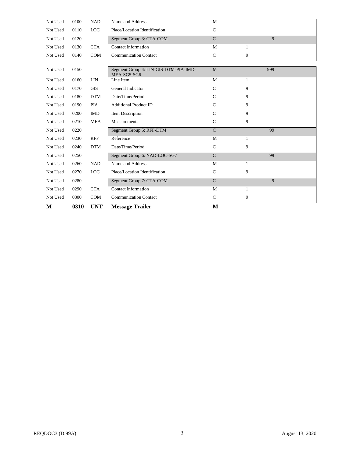| Not Used | 0100 | <b>NAD</b> | Name and Address                                     | M             |   |     |
|----------|------|------------|------------------------------------------------------|---------------|---|-----|
| Not Used | 0110 | <b>LOC</b> | Place/Location Identification                        | $\mathsf{C}$  |   |     |
| Not Used | 0120 |            | Segment Group 3: CTA-COM                             | $\mathcal{C}$ |   | 9   |
| Not Used | 0130 | <b>CTA</b> | <b>Contact Information</b>                           | M             | 1 |     |
| Not Used | 0140 | COM        | <b>Communication Contact</b>                         | $\mathsf{C}$  | 9 |     |
|          |      |            |                                                      |               |   |     |
| Not Used | 0150 |            | Segment Group 4: LIN-GIS-DTM-PIA-IMD-<br>MEA-SG5-SG6 | M             |   | 999 |
| Not Used | 0160 | LIN        | Line Item                                            | M             | 1 |     |
| Not Used | 0170 | <b>GIS</b> | General Indicator                                    | $\mathcal{C}$ | 9 |     |
| Not Used | 0180 | <b>DTM</b> | Date/Time/Period                                     | $\mathcal{C}$ | 9 |     |
| Not Used | 0190 | <b>PIA</b> | <b>Additional Product ID</b>                         | $\mathcal{C}$ | 9 |     |
| Not Used | 0200 | <b>IMD</b> | Item Description                                     | $\mathcal{C}$ | 9 |     |
| Not Used | 0210 | <b>MEA</b> | Measurements                                         | $\mathcal{C}$ | 9 |     |
| Not Used | 0220 |            | Segment Group 5: RFF-DTM                             | $\mathsf{C}$  |   | 99  |
| Not Used | 0230 | <b>RFF</b> | Reference                                            | M             | 1 |     |
| Not Used | 0240 | <b>DTM</b> | Date/Time/Period                                     | $\mathsf{C}$  | 9 |     |
| Not Used | 0250 |            | Segment Group 6: NAD-LOC-SG7                         | $\mathcal{C}$ |   | 99  |
| Not Used | 0260 | <b>NAD</b> | Name and Address                                     | M             | 1 |     |
| Not Used | 0270 | LOC        | Place/Location Identification                        | $\mathsf{C}$  | 9 |     |
| Not Used | 0280 |            | Segment Group 7: CTA-COM                             | $\mathsf{C}$  |   | 9   |
| Not Used | 0290 | <b>CTA</b> | <b>Contact Information</b>                           | M             | 1 |     |
| Not Used | 0300 | COM        | <b>Communication Contact</b>                         | $\mathsf{C}$  | 9 |     |
| М        | 0310 | <b>UNT</b> | <b>Message Trailer</b>                               | M             |   |     |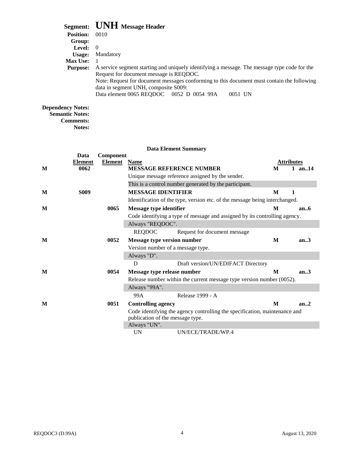|                  | Segment: UNH Message Header                                                                                                             |
|------------------|-----------------------------------------------------------------------------------------------------------------------------------------|
| <b>Position:</b> | 0010                                                                                                                                    |
| Group:           |                                                                                                                                         |
| Level: $\theta$  |                                                                                                                                         |
| Usage:           | Mandatory                                                                                                                               |
| <b>Max Use:</b>  |                                                                                                                                         |
| <b>Purpose:</b>  | A service segment starting and uniquely identifying a message. The message type code for the<br>Request for document message is REQDOC. |
|                  | Note: Request for document messages conforming to this document must contain the following<br>data in segment UNH, composite S009:      |
|                  | Data element 0065 REQDOC 0052 D 0054 99A<br>0051 UN                                                                                     |
| ndonov Notoc:    |                                                                                                                                         |

#### **Dependency Notes: Semantic Notes:**

**Comments:**

**Notes:**

## **Data Element Summary Data Component Element Element Name Attributes Attributes Attributes Attributes Attributes Attributes Attributes Attributes Attributes Attributes Attributes Attributes Attributes Attributes Attributes M 0062 MESSAGE REFERENCE NUMBER M 1 an..14** Unique message reference assigned by the sender. This is a control number generated by the participant. **M S009 MESSAGE IDENTIFIER M 1** Identification of the type, version etc. of the message being interchanged. **M 0065 Message type identifier M an..6** Code identifying a type of message and assigned by its controlling agency. Always "REQDOC". REQDOC Request for document message **M 0052 Message type version number M an..3** Version number of a message type. Always "D". D Draft version/UN/EDIFACT Directory **M 0054 Message type release number M an..3** Release number within the current message type version number (0052). Always "99A". 99A Release 1999 - A **M 0051 Controlling agency M an..2** Code identifying the agency controlling the specification, maintenance and publication of the message type. Always "UN". UN UN/ECE/TRADE/WP.4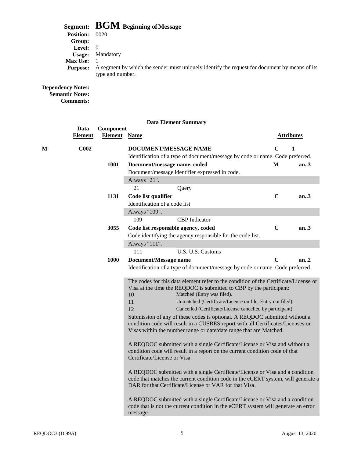# **Segment: BGM Beginning of Message**

| <b>Position:</b>  | 0020                                                                                                              |
|-------------------|-------------------------------------------------------------------------------------------------------------------|
| Group:            |                                                                                                                   |
| <b>Level:</b> $0$ |                                                                                                                   |
| Usage:            | Mandatory                                                                                                         |
| <b>Max Use:</b>   |                                                                                                                   |
| <b>Purpose:</b>   | A segment by which the sender must uniquely identify the request for document by means of its<br>type and number. |
|                   |                                                                                                                   |

#### **Dependency Notes: Semantic Notes:**

**Comments:**

**Data Component**

|   | <b>Element</b>   | <b>Element</b> Name |                               |                                                                                                                                                                                                                                                                                                                                                                                                   |             | <b>Attributes</b> |
|---|------------------|---------------------|-------------------------------|---------------------------------------------------------------------------------------------------------------------------------------------------------------------------------------------------------------------------------------------------------------------------------------------------------------------------------------------------------------------------------------------------|-------------|-------------------|
| M | C <sub>002</sub> |                     |                               | DOCUMENT/MESSAGE NAME                                                                                                                                                                                                                                                                                                                                                                             | C           | 1                 |
|   |                  |                     |                               | Identification of a type of document/message by code or name. Code preferred.                                                                                                                                                                                                                                                                                                                     |             |                   |
|   |                  | 1001                |                               | Document/message name, coded                                                                                                                                                                                                                                                                                                                                                                      | M           | an3               |
|   |                  |                     |                               | Document/message identifier expressed in code.                                                                                                                                                                                                                                                                                                                                                    |             |                   |
|   |                  |                     | Always "21".                  |                                                                                                                                                                                                                                                                                                                                                                                                   |             |                   |
|   |                  |                     | 21                            | Query                                                                                                                                                                                                                                                                                                                                                                                             |             |                   |
|   |                  | 1131                | Code list qualifier           |                                                                                                                                                                                                                                                                                                                                                                                                   | $\mathbf C$ | an.3              |
|   |                  |                     | Identification of a code list |                                                                                                                                                                                                                                                                                                                                                                                                   |             |                   |
|   |                  |                     | Always "109".                 |                                                                                                                                                                                                                                                                                                                                                                                                   |             |                   |
|   |                  |                     | 109                           | <b>CBP</b> Indicator                                                                                                                                                                                                                                                                                                                                                                              |             |                   |
|   |                  | 3055                |                               | Code list responsible agency, coded                                                                                                                                                                                                                                                                                                                                                               | $\mathbf C$ | an $3$            |
|   |                  |                     |                               | Code identifying the agency responsible for the code list.                                                                                                                                                                                                                                                                                                                                        |             |                   |
|   |                  |                     | Always "111".                 |                                                                                                                                                                                                                                                                                                                                                                                                   |             |                   |
|   |                  |                     | 111                           | U.S. U.S. Customs                                                                                                                                                                                                                                                                                                                                                                                 |             |                   |
|   |                  | 1000                | <b>Document/Message name</b>  |                                                                                                                                                                                                                                                                                                                                                                                                   | $\mathbf C$ | an.2              |
|   |                  |                     |                               | Identification of a type of document/message by code or name. Code preferred.                                                                                                                                                                                                                                                                                                                     |             |                   |
|   |                  |                     | 10<br>11<br>12                | The codes for this data element refer to the condition of the Certificate/License or<br>Visa at the time the REQDOC is submitted to CBP by the participant:<br>Matched (Entry was filed).<br>Unmatched (Certificate/License on file, Entry not filed).<br>Cancelled (Certificate/License cancelled by participant).<br>Submission of any of these codes is optional. A REQDOC submitted without a |             |                   |
|   |                  |                     |                               | condition code will result in a CUSRES report with all Certificates/Licenses or<br>Visas within the number range or date/date range that are Matched.                                                                                                                                                                                                                                             |             |                   |
|   |                  |                     | Certificate/License or Visa.  | A REQDOC submitted with a single Certificate/License or Visa and without a<br>condition code will result in a report on the current condition code of that                                                                                                                                                                                                                                        |             |                   |
|   |                  |                     |                               | A REQDOC submitted with a single Certificate/License or Visa and a condition<br>code that matches the current condition code in the eCERT system, will generate a<br>DAR for that Certificate/License or VAR for that Visa.                                                                                                                                                                       |             |                   |
|   |                  |                     | message.                      | A REQDOC submitted with a single Certificate/License or Visa and a condition<br>code that is not the current condition in the eCERT system will generate an error                                                                                                                                                                                                                                 |             |                   |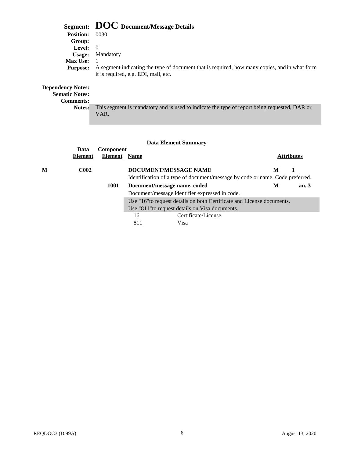|                                                   | Segment: DOC Document/Message Details                                                                                                 |
|---------------------------------------------------|---------------------------------------------------------------------------------------------------------------------------------------|
| <b>Position:</b>                                  | 0030                                                                                                                                  |
| Group:                                            |                                                                                                                                       |
| <b>Level:</b> $0$                                 |                                                                                                                                       |
| Usage:                                            | Mandatory                                                                                                                             |
| <b>Max Use:</b>                                   |                                                                                                                                       |
| <b>Purpose:</b>                                   | A segment indicating the type of document that is required, how many copies, and in what form<br>it is required, e.g. EDI, mail, etc. |
| <b>Dependency Notes:</b><br><b>Sematic Notes:</b> |                                                                                                                                       |
| <b>Comments:</b>                                  |                                                                                                                                       |
| Notes:                                            | This segment is mandatory and is used to indicate the type of report being requested, DAR or                                          |

VAR.

|   | Data<br><b>Element</b> | Component<br><b>Element</b> Name |     |                                                                               |   | <b>Attributes</b> |
|---|------------------------|----------------------------------|-----|-------------------------------------------------------------------------------|---|-------------------|
| м | <b>C002</b>            |                                  |     | DOCUMENT/MESSAGE NAME                                                         | M |                   |
|   |                        |                                  |     | Identification of a type of document/message by code or name. Code preferred. |   |                   |
|   |                        | 1001                             |     | Document/message name, coded                                                  | M | an.3              |
|   |                        |                                  |     | Document/message identifier expressed in code.                                |   |                   |
|   |                        |                                  |     | Use "16" to request details on both Certificate and License documents.        |   |                   |
|   |                        |                                  |     | Use "811" to request details on Visa documents.                               |   |                   |
|   |                        |                                  | 16  | Certificate/License                                                           |   |                   |
|   |                        |                                  | 811 | Visa                                                                          |   |                   |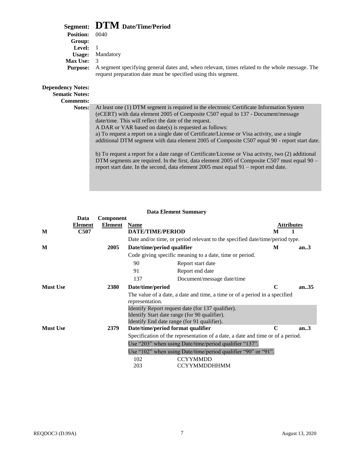## **Segment: DTM Date/Time/Period**

| <b>Position:</b>                                                      | - 0040                                                                                                                                                           |
|-----------------------------------------------------------------------|------------------------------------------------------------------------------------------------------------------------------------------------------------------|
| Group:                                                                |                                                                                                                                                                  |
| Level:                                                                |                                                                                                                                                                  |
| Usage:                                                                | Mandatory                                                                                                                                                        |
| <b>Max Use:</b>                                                       | -3                                                                                                                                                               |
| <b>Purpose:</b>                                                       | A segment specifying general dates and, when relevant, times related to the whole message. The<br>request preparation date must be specified using this segment. |
| <b>Dependency Notes:</b><br><b>Sematic Notes:</b><br><b>Comments:</b> |                                                                                                                                                                  |
| Notes:                                                                | At least one (1) DTM segment is required in the electronic Certificate Information System                                                                        |
|                                                                       | (eCERT) with data element 2005 of Composite C507 equal to 137 - Document/message                                                                                 |
|                                                                       | date/time. This will reflect the date of the request.                                                                                                            |
|                                                                       | A DAR or VAR based on date(s) is requested as follows:                                                                                                           |
|                                                                       | a) To request a report on a single date of Certificate/License or Visa activity, use a single                                                                    |
|                                                                       | additional DTM segment with data element 2005 of Composite C507 equal 90 - report start date.                                                                    |

b) To request a report for a date range of Certificate/License or Visa activity, two (2) additional DTM segments are required. In the first, data element 2005 of Composite C507 must equal 90 – report start date. In the second, data element 2005 must equal 91 – report end date.

|                 | Data           | Component |                                                                                |                                                                              |                   |       |  |
|-----------------|----------------|-----------|--------------------------------------------------------------------------------|------------------------------------------------------------------------------|-------------------|-------|--|
|                 | <b>Element</b> | Element   | <b>Name</b>                                                                    |                                                                              | <b>Attributes</b> |       |  |
| M               | <b>C507</b>    |           | <b>DATE/TIME/PERIOD</b>                                                        |                                                                              | M                 |       |  |
|                 |                |           |                                                                                | Date and/or time, or period relevant to the specified date/time/period type. |                   |       |  |
| M               |                | 2005      | Date/time/period qualifier                                                     |                                                                              | M                 | an.3  |  |
|                 |                |           |                                                                                | Code giving specific meaning to a date, time or period.                      |                   |       |  |
|                 |                |           | 90                                                                             | Report start date                                                            |                   |       |  |
|                 |                |           | 91                                                                             | Report end date                                                              |                   |       |  |
|                 |                |           | 137                                                                            | Document/message date/time                                                   |                   |       |  |
| <b>Must Use</b> |                | 2380      | Date/time/period                                                               |                                                                              | C                 | an.35 |  |
|                 |                |           | representation.                                                                | The value of a date, a date and time, a time or of a period in a specified   |                   |       |  |
|                 |                |           |                                                                                | Identify Report request date (for 137 qualifier).                            |                   |       |  |
|                 |                |           |                                                                                | Identify Start date range (for 90 qualifier).                                |                   |       |  |
|                 |                |           |                                                                                | Identify End date range (for 91 qualifier).                                  |                   |       |  |
| <b>Must Use</b> |                | 2379      | Date/time/period format qualifier                                              |                                                                              | $\mathbf C$       | an.3  |  |
|                 |                |           | Specification of the representation of a date, a date and time or of a period. |                                                                              |                   |       |  |
|                 |                |           | Use "203" when using Date/time/period qualifier "137".                         |                                                                              |                   |       |  |
|                 |                |           |                                                                                | Use "102" when using Date/time/period qualifier "90" or "91".                |                   |       |  |
|                 |                |           | 102                                                                            | <b>CCYYMMDD</b>                                                              |                   |       |  |
|                 |                |           | 203                                                                            | <b>CCYYMMDDHHMM</b>                                                          |                   |       |  |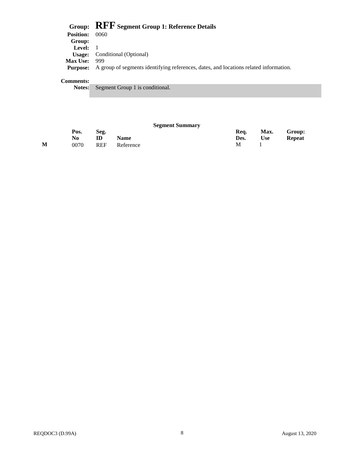|                  | Group: RFF Segment Group 1: Reference Details                                         |
|------------------|---------------------------------------------------------------------------------------|
| <b>Position:</b> | 0060                                                                                  |
| Group:           |                                                                                       |
| Level: $1$       |                                                                                       |
|                  | <b>Usage:</b> Conditional (Optional)                                                  |
| <b>Max Use:</b>  | - 999                                                                                 |
| <b>Purpose:</b>  | A group of segments identifying references, dates, and locations related information. |
|                  |                                                                                       |

### **Comments:**

**Notes:** Segment Group 1 is conditional.

|   |             |            |             | <b>Segment Summary</b> |              |                    |                         |
|---|-------------|------------|-------------|------------------------|--------------|--------------------|-------------------------|
|   | Pos.<br>No. | Seg.<br>ID | <b>Name</b> |                        | Req.<br>Des. | Max.<br><b>Use</b> | Group:<br><b>Repeat</b> |
| M | 0070        | <b>REF</b> | Reference   |                        | M            |                    |                         |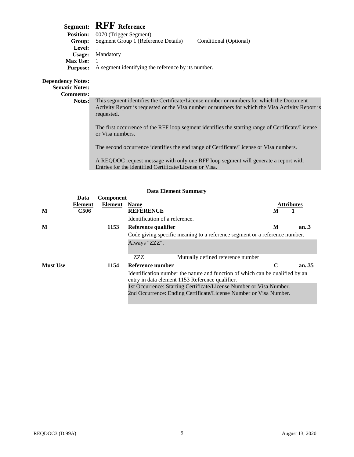# **Segment: RFF Reference**

| <b>Position:</b> | 0070 (Trigger Segment)                             |                        |  |
|------------------|----------------------------------------------------|------------------------|--|
| Group:           | Segment Group 1 (Reference Details)                | Conditional (Optional) |  |
| <b>Level:</b>    |                                                    |                        |  |
|                  | <b>Usage:</b> Mandatory                            |                        |  |
| <b>Max Use:</b>  |                                                    |                        |  |
| <b>Purpose:</b>  | A segment identifying the reference by its number. |                        |  |
|                  |                                                    |                        |  |
|                  |                                                    |                        |  |

## **Dependency Notes:**

**Sematic Notes:**

**Comments:**

**Notes:** This segment identifies the Certificate/License number or numbers for which the Document Activity Report is requested or the Visa number or numbers for which the Visa Activity Report is requested.

The first occurrence of the RFF loop segment identifies the starting range of Certificate/License or Visa numbers.

The second occurrence identifies the end range of Certificate/License or Visa numbers.

A REQDOC request message with only one RFF loop segment will generate a report with Entries for the identified Certificate/License or Visa.

| <b>Data Element Summary</b> |                                                                                                                                  |              |                                                                            |                   |       |  |  |  |
|-----------------------------|----------------------------------------------------------------------------------------------------------------------------------|--------------|----------------------------------------------------------------------------|-------------------|-------|--|--|--|
|                             | Data                                                                                                                             | Component    |                                                                            |                   |       |  |  |  |
|                             | Element                                                                                                                          | Element Name |                                                                            | <b>Attributes</b> |       |  |  |  |
| M                           | C <sub>506</sub>                                                                                                                 |              | <b>REFERENCE</b>                                                           | M                 |       |  |  |  |
|                             |                                                                                                                                  |              | Identification of a reference.                                             |                   |       |  |  |  |
| M                           |                                                                                                                                  | 1153         | Reference qualifier                                                        | M                 | an.3  |  |  |  |
|                             |                                                                                                                                  |              | Code giving specific meaning to a reference segment or a reference number. |                   |       |  |  |  |
|                             |                                                                                                                                  |              | Always "ZZZ".                                                              |                   |       |  |  |  |
|                             |                                                                                                                                  |              | ZZZ.<br>Mutually defined reference number                                  |                   |       |  |  |  |
| <b>Must Use</b>             |                                                                                                                                  | 1154         | Reference number                                                           | C                 | an.35 |  |  |  |
|                             | Identification number the nature and function of which can be qualified by an<br>entry in data element 1153 Reference qualifier. |              |                                                                            |                   |       |  |  |  |
|                             |                                                                                                                                  |              | 1st Occurrence: Starting Certificate/License Number or Visa Number.        |                   |       |  |  |  |
|                             |                                                                                                                                  |              | 2nd Occurrence: Ending Certificate/License Number or Visa Number.          |                   |       |  |  |  |